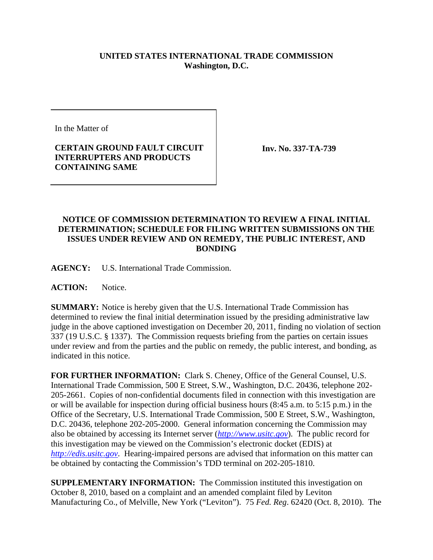## **UNITED STATES INTERNATIONAL TRADE COMMISSION Washington, D.C.**

In the Matter of

## **CERTAIN GROUND FAULT CIRCUIT INTERRUPTERS AND PRODUCTS CONTAINING SAME**

**Inv. No. 337-TA-739**

## **NOTICE OF COMMISSION DETERMINATION TO REVIEW A FINAL INITIAL DETERMINATION; SCHEDULE FOR FILING WRITTEN SUBMISSIONS ON THE ISSUES UNDER REVIEW AND ON REMEDY, THE PUBLIC INTEREST, AND BONDING**

**AGENCY:** U.S. International Trade Commission.

**ACTION:** Notice.

**SUMMARY:** Notice is hereby given that the U.S. International Trade Commission has determined to review the final initial determination issued by the presiding administrative law judge in the above captioned investigation on December 20, 2011, finding no violation of section 337 (19 U.S.C. § 1337). The Commission requests briefing from the parties on certain issues under review and from the parties and the public on remedy, the public interest, and bonding, as indicated in this notice.

**FOR FURTHER INFORMATION:** Clark S. Cheney, Office of the General Counsel, U.S. International Trade Commission, 500 E Street, S.W., Washington, D.C. 20436, telephone 202- 205-2661. Copies of non-confidential documents filed in connection with this investigation are or will be available for inspection during official business hours (8:45 a.m. to 5:15 p.m.) in the Office of the Secretary, U.S. International Trade Commission, 500 E Street, S.W., Washington, D.C. 20436, telephone 202-205-2000. General information concerning the Commission may also be obtained by accessing its Internet server (*http://www.usitc.gov*). The public record for this investigation may be viewed on the Commission's electronic docket (EDIS) at *http://edis.usitc.gov*. Hearing-impaired persons are advised that information on this matter can be obtained by contacting the Commission's TDD terminal on 202-205-1810.

**SUPPLEMENTARY INFORMATION:** The Commission instituted this investigation on October 8, 2010, based on a complaint and an amended complaint filed by Leviton Manufacturing Co., of Melville, New York ("Leviton"). 75 *Fed. Reg*. 62420 (Oct. 8, 2010). The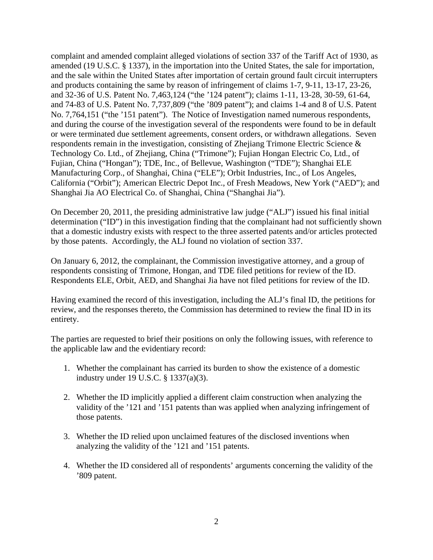complaint and amended complaint alleged violations of section 337 of the Tariff Act of 1930, as amended (19 U.S.C. § 1337), in the importation into the United States, the sale for importation, and the sale within the United States after importation of certain ground fault circuit interrupters and products containing the same by reason of infringement of claims 1-7, 9-11, 13-17, 23-26, and 32-36 of U.S. Patent No. 7,463,124 ("the '124 patent"); claims 1-11, 13-28, 30-59, 61-64, and 74-83 of U.S. Patent No. 7,737,809 ("the '809 patent"); and claims 1-4 and 8 of U.S. Patent No. 7,764,151 ("the '151 patent"). The Notice of Investigation named numerous respondents, and during the course of the investigation several of the respondents were found to be in default or were terminated due settlement agreements, consent orders, or withdrawn allegations. Seven respondents remain in the investigation, consisting of Zhejiang Trimone Electric Science & Technology Co. Ltd., of Zhejiang, China ("Trimone"); Fujian Hongan Electric Co, Ltd., of Fujian, China ("Hongan"); TDE, Inc., of Bellevue, Washington ("TDE"); Shanghai ELE Manufacturing Corp., of Shanghai, China ("ELE"); Orbit Industries, Inc., of Los Angeles, California ("Orbit"); American Electric Depot Inc., of Fresh Meadows, New York ("AED"); and Shanghai Jia AO Electrical Co. of Shanghai, China ("Shanghai Jia").

On December 20, 2011, the presiding administrative law judge ("ALJ") issued his final initial determination ("ID") in this investigation finding that the complainant had not sufficiently shown that a domestic industry exists with respect to the three asserted patents and/or articles protected by those patents. Accordingly, the ALJ found no violation of section 337.

On January 6, 2012, the complainant, the Commission investigative attorney, and a group of respondents consisting of Trimone, Hongan, and TDE filed petitions for review of the ID. Respondents ELE, Orbit, AED, and Shanghai Jia have not filed petitions for review of the ID.

Having examined the record of this investigation, including the ALJ's final ID, the petitions for review, and the responses thereto, the Commission has determined to review the final ID in its entirety.

The parties are requested to brief their positions on only the following issues, with reference to the applicable law and the evidentiary record:

- 1. Whether the complainant has carried its burden to show the existence of a domestic industry under 19 U.S.C. § 1337(a)(3).
- 2. Whether the ID implicitly applied a different claim construction when analyzing the validity of the '121 and '151 patents than was applied when analyzing infringement of those patents.
- 3. Whether the ID relied upon unclaimed features of the disclosed inventions when analyzing the validity of the '121 and '151 patents.
- 4. Whether the ID considered all of respondents' arguments concerning the validity of the '809 patent.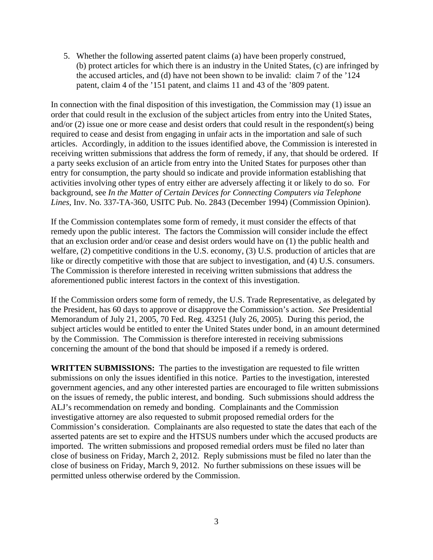5. Whether the following asserted patent claims (a) have been properly construed, (b) protect articles for which there is an industry in the United States, (c) are infringed by the accused articles, and (d) have not been shown to be invalid: claim 7 of the '124 patent, claim 4 of the '151 patent, and claims 11 and 43 of the '809 patent.

In connection with the final disposition of this investigation, the Commission may (1) issue an order that could result in the exclusion of the subject articles from entry into the United States, and/or (2) issue one or more cease and desist orders that could result in the respondent(s) being required to cease and desist from engaging in unfair acts in the importation and sale of such articles. Accordingly, in addition to the issues identified above, the Commission is interested in receiving written submissions that address the form of remedy, if any, that should be ordered. If a party seeks exclusion of an article from entry into the United States for purposes other than entry for consumption, the party should so indicate and provide information establishing that activities involving other types of entry either are adversely affecting it or likely to do so. For background, see *In the Matter of Certain Devices for Connecting Computers via Telephone Lines*, Inv. No. 337-TA-360, USITC Pub. No. 2843 (December 1994) (Commission Opinion).

If the Commission contemplates some form of remedy, it must consider the effects of that remedy upon the public interest. The factors the Commission will consider include the effect that an exclusion order and/or cease and desist orders would have on (1) the public health and welfare, (2) competitive conditions in the U.S. economy, (3) U.S. production of articles that are like or directly competitive with those that are subject to investigation, and (4) U.S. consumers. The Commission is therefore interested in receiving written submissions that address the aforementioned public interest factors in the context of this investigation.

If the Commission orders some form of remedy, the U.S. Trade Representative, as delegated by the President, has 60 days to approve or disapprove the Commission's action. *See* Presidential Memorandum of July 21, 2005, 70 Fed. Reg. 43251 (July 26, 2005). During this period, the subject articles would be entitled to enter the United States under bond, in an amount determined by the Commission. The Commission is therefore interested in receiving submissions concerning the amount of the bond that should be imposed if a remedy is ordered.

**WRITTEN SUBMISSIONS:** The parties to the investigation are requested to file written submissions on only the issues identified in this notice. Parties to the investigation, interested government agencies, and any other interested parties are encouraged to file written submissions on the issues of remedy, the public interest, and bonding. Such submissions should address the ALJ's recommendation on remedy and bonding. Complainants and the Commission investigative attorney are also requested to submit proposed remedial orders for the Commission's consideration. Complainants are also requested to state the dates that each of the asserted patents are set to expire and the HTSUS numbers under which the accused products are imported. The written submissions and proposed remedial orders must be filed no later than close of business on Friday, March 2, 2012. Reply submissions must be filed no later than the close of business on Friday, March 9, 2012. No further submissions on these issues will be permitted unless otherwise ordered by the Commission.